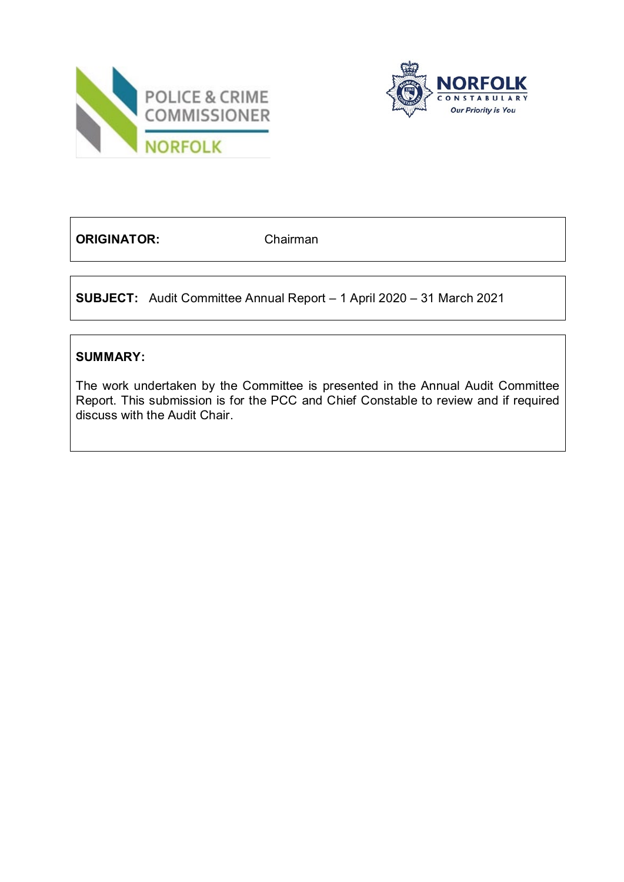



**ORIGINATOR:** Chairman

**SUBJECT:** Audit Committee Annual Report – 1 April 2020 – 31 March 2021

# **SUMMARY:**

The work undertaken by the Committee is presented in the Annual Audit Committee Report. This submission is for the PCC and Chief Constable to review and if required discuss with the Audit Chair.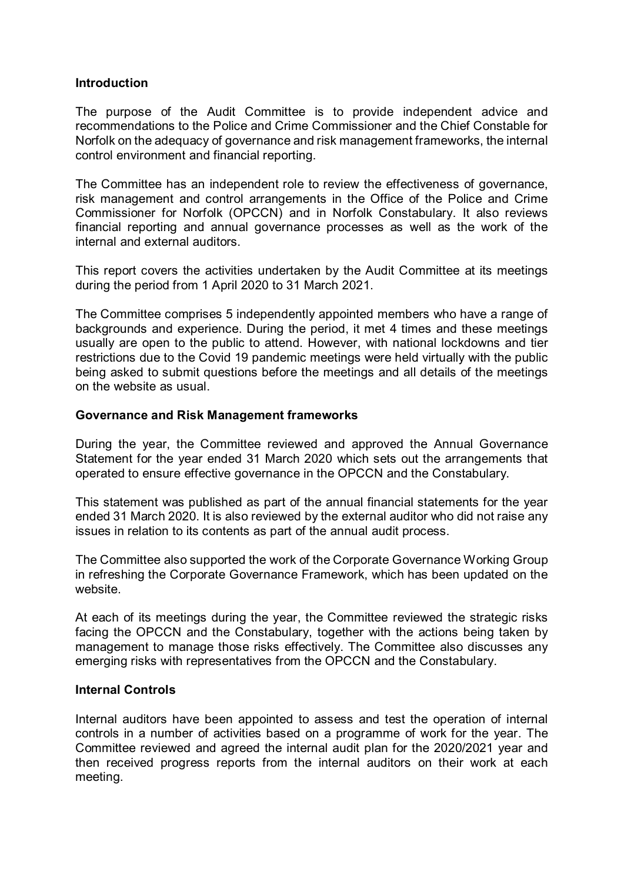## **Introduction**

The purpose of the Audit Committee is to provide independent advice and recommendations to the Police and Crime Commissioner and the Chief Constable for Norfolk on the adequacy of governance and risk management frameworks, the internal control environment and financial reporting.

The Committee has an independent role to review the effectiveness of governance, risk management and control arrangements in the Office of the Police and Crime Commissioner for Norfolk (OPCCN) and in Norfolk Constabulary. It also reviews financial reporting and annual governance processes as well as the work of the internal and external auditors.

This report covers the activities undertaken by the Audit Committee at its meetings during the period from 1 April 2020 to 31 March 2021.

The Committee comprises 5 independently appointed members who have a range of backgrounds and experience. During the period, it met 4 times and these meetings usually are open to the public to attend. However, with national lockdowns and tier restrictions due to the Covid 19 pandemic meetings were held virtually with the public being asked to submit questions before the meetings and all details of the meetings on the website as usual.

## **Governance and Risk Management frameworks**

During the year, the Committee reviewed and approved the Annual Governance Statement for the year ended 31 March 2020 which sets out the arrangements that operated to ensure effective governance in the OPCCN and the Constabulary.

This statement was published as part of the annual financial statements for the year ended 31 March 2020. It is also reviewed by the external auditor who did not raise any issues in relation to its contents as part of the annual audit process.

The Committee also supported the work of the Corporate Governance Working Group in refreshing the Corporate Governance Framework, which has been updated on the website.

At each of its meetings during the year, the Committee reviewed the strategic risks facing the OPCCN and the Constabulary, together with the actions being taken by management to manage those risks effectively. The Committee also discusses any emerging risks with representatives from the OPCCN and the Constabulary.

#### **Internal Controls**

Internal auditors have been appointed to assess and test the operation of internal controls in a number of activities based on a programme of work for the year. The Committee reviewed and agreed the internal audit plan for the 2020/2021 year and then received progress reports from the internal auditors on their work at each meeting.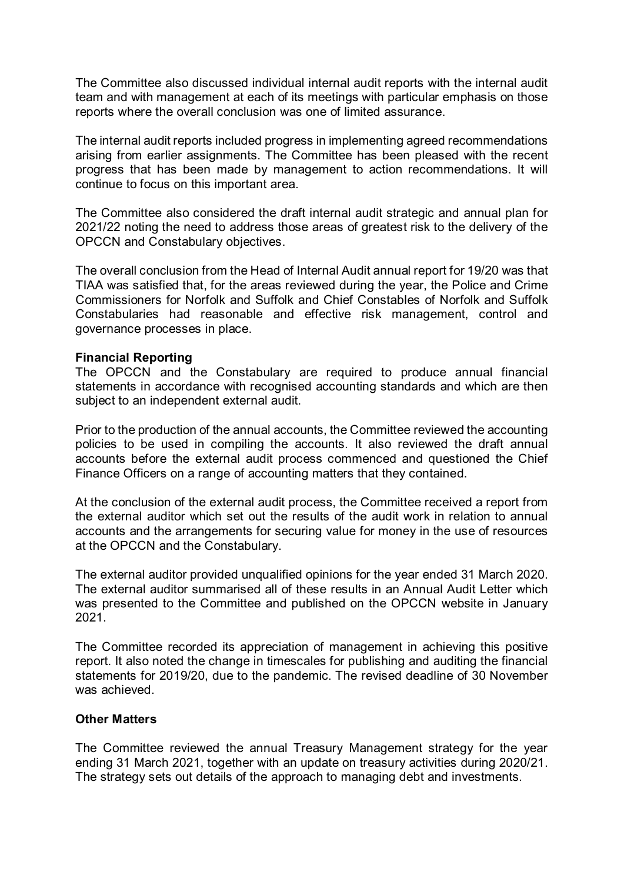The Committee also discussed individual internal audit reports with the internal audit team and with management at each of its meetings with particular emphasis on those reports where the overall conclusion was one of limited assurance.

The internal audit reports included progress in implementing agreed recommendations arising from earlier assignments. The Committee has been pleased with the recent progress that has been made by management to action recommendations. It will continue to focus on this important area.

The Committee also considered the draft internal audit strategic and annual plan for 2021/22 noting the need to address those areas of greatest risk to the delivery of the OPCCN and Constabulary objectives.

The overall conclusion from the Head of Internal Audit annual report for 19/20 was that TIAA was satisfied that, for the areas reviewed during the year, the Police and Crime Commissioners for Norfolk and Suffolk and Chief Constables of Norfolk and Suffolk Constabularies had reasonable and effective risk management, control and governance processes in place.

## **Financial Reporting**

The OPCCN and the Constabulary are required to produce annual financial statements in accordance with recognised accounting standards and which are then subject to an independent external audit.

Prior to the production of the annual accounts, the Committee reviewed the accounting policies to be used in compiling the accounts. It also reviewed the draft annual accounts before the external audit process commenced and questioned the Chief Finance Officers on a range of accounting matters that they contained.

At the conclusion of the external audit process, the Committee received a report from the external auditor which set out the results of the audit work in relation to annual accounts and the arrangements for securing value for money in the use of resources at the OPCCN and the Constabulary.

The external auditor provided unqualified opinions for the year ended 31 March 2020. The external auditor summarised all of these results in an Annual Audit Letter which was presented to the Committee and published on the OPCCN website in January 2021.

The Committee recorded its appreciation of management in achieving this positive report. It also noted the change in timescales for publishing and auditing the financial statements for 2019/20, due to the pandemic. The revised deadline of 30 November was achieved.

#### **Other Matters**

The Committee reviewed the annual Treasury Management strategy for the year ending 31 March 2021, together with an update on treasury activities during 2020/21. The strategy sets out details of the approach to managing debt and investments.